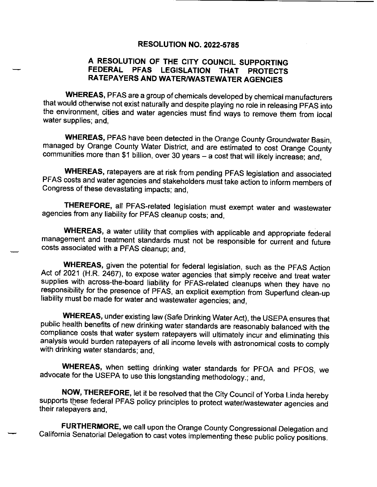## **RESOLUTION NO. 2022-5785**

## A RESOLUTION OF THE CITY COUNCIL SUPPORTING FEDERAL PFAS LEGISLATION THAT PROTECTS RATEPAYERS AND WATER/WASTEWATER AGENCIES

WHEREAS, PFAS are a group of chemicals developed by chemical manufacturers that would otherwise not exist naturally and despite playing no role in releasing PFAS into the environment, cities and water agencies must find ways to remove them from local water supplies; and,

WHEREAS, PFAS have been detected in the Orange County Groundwater Basin, managed by Orange County Water District, and are estimated to cost Orange County communities more than \$1 billion, over 30 years - a cost that will likely increase; and,

WHEREAS, ratepayers are at risk from pending PFAS legislation and associated PFAS costs and water agencies and stakeholders must take action to inform members of Congress of these devastating impacts; and,

THEREFORE, all PFAS-related legislation must exempt water and wastewater agencies from any liability for PFAS cleanup costs; and,

WHEREAS, a water utility that complies with applicable and appropriate federal management and treatment standards must not be responsible for current and future costs associated with a PFAS cleanup; and,

WHEREAS, given the potential for federal legislation, such as the PFAS Action Act of 2021 (H.R. 2467), to expose water agencies that simply receive and treat water supplies with across-the-board liability for PFAS-related cleanups when they have no responsibility for the presence of PFAS, an explicit exemption from Superfund clean- up liability must be made for water and wastewater agencies; and,

WHEREAS, under existing law( Safe Drinking Water Act), the USEPA ensures that public health benefits of new drinking water standards are reasonably balanced with the compliance costs that water system ratepayers will ultimately incur and eliminating this analysis would burden ratepayers of all income levels with astronomical costs to comply with drinking water standards; and,

WHEREAS, when setting drinking water standards for PFOA and PFOS, we advocate for the USEPA to use this longstanding methodology.; and,

NOW, THEREFORE, let it be resolved that the City Council of Yorba Linda hereby supports these federal PFAS policy principles to protect water/wastewater agencies and their ratepayers and,

FURTHERMORE, we call upon the Orange County Congressional Delegation and California Senatorial Delegation to cast votes implementing these public policy positions.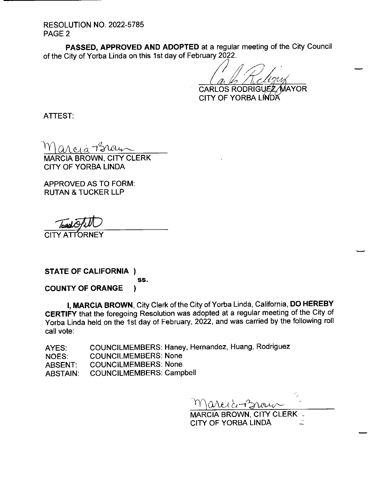**RESOLUTION NO. 2022-5785** PAGE 2

PASSED, APPROVED AND ADOPTED at a regular meeting of the City Council of the City of Yorba Linda on this 1st day of February 2022.

6 CARLOS RODRIGU' ' TAYOR

CITY OF YORBA LINDA

ATTEST:

 $ACAA$ 

MARCIA BROWN, CITY CLERK CITY OF YORBA LINDA

APPROVED AS TO FORM: RUTAN & TUCKER LLP

CITY ATTORI

STATE OF CALIFORNIA ) ss. **COUNTY OF ORANGE**  $\mathbf{r}$ 

I, MARCIA BROWN, City Clerk of the City of Yorba Linda, California, DO HEREBY CERTIFY that the foregoing Resolution was adopted at a regular meeting of the City of Yorba Linda held on the 1st day of February, 2022, and was carried by the following roll call vote:

AYES: COUNCILMEMBERS: Haney, Hernandez, Huang, Rodriguez NOES: COUNCILMEMBERS: None ABSENT: COUNCILMEMBERS: None ABSTAIN: COUNCILMEMBERS: Campbell

Wilbe

MARCIA BROWN, CITY CLERK \_ CITY OF YORBA LINDA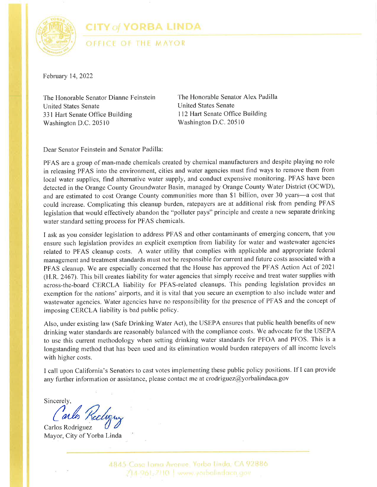

**CITY of YORBA LINDA** 

OFFICE OF THE MAYOR

February 14,2022

The Honorable Senator Dianne Feinstein United States Senate 331 Hart Senate Office Building Washington D.C. 20510

The Honorable Senator Alex Padilla United States Senate 112 Hart Senate Office Building Washington D.C. 20510

Dear Senator Feinstein and Senator Padilla:

PFAS are a group of man-made chemicals created by chemical manufacturers and despite playing no role in releasing PFAS into the environment, cities and water agencies must find ways to remove them from local water supplies, find alternative water supply, and conduct expensive monitoring. PFAS have been detected in the Orange County Groundwater Basin, managed by Orange County Water District (OCWD), and are estimated to cost Orange County communities more than \$1 billion, over 30 years-a cost that could increase. Complicating this cleanup burden, ratepayers are at additional risk from pending PFAS legislation that would effectively abandon the "polluter pays" principle and create a new separate drinking water standard setting process for PFAS chemicals.

I ask as you consider legislation to address PFAS and other contaminants of emerging concern, that you ensure such legislation provides an explicit exemption from liability for water and wastewater agencies related to PFAS cleanup costs. A water utility that complies with applicable and appropriate federal management and treatment standards must not be responsible for current and future costs associated with a PFAS cleanup. We are especially concerned that the House has approved the PFAS Action Act of 2021 (H.R. 2467). This bill creates liability for water agencies that simply receive and treat water supplies with across-the-board CERCLA liability for PFAS-related cleanups. This pending legislation provides an exemption for the nations' airports, and it is vital that you secure an exemption to also include water and wastewater agencies. Water agencies have no responsibility for the presence of PFAS and the concept of imposing CERCLA liability is bad public policy.

Also, under existing law (Safe Drinking Water Act), the USEPA ensures that public health benefits of new drinking water standards are reasonably balanced with the compliance costs. We advocate for the USEPA to use this current methodology when setting drinking water standards for PFOA and PFOS. This is <sup>a</sup> longstanding method that has been used and its elimination would burden ratepayers of all income levels with higher costs.

I call upcn California's Senators to cast votes implementing these public policy positions. If I can provide any further information or assistance, please contact me at crodriguez@yorbalindaca.gov

Sincerely,

Carlos Rodriguez Mayor, City of Yorba Linda